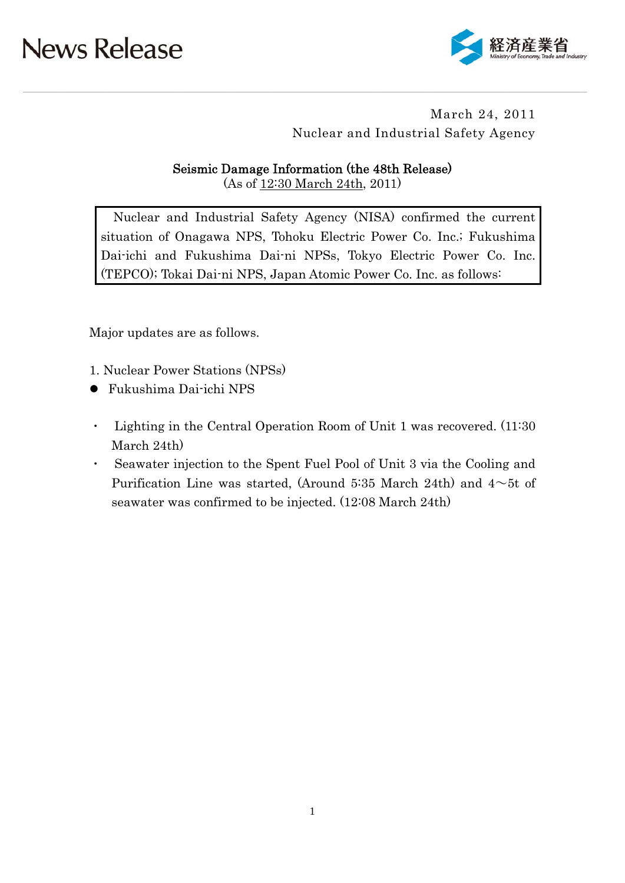

### March 24, 2011 Nuclear and Industrial Safety Agency

### Seismic Damage Information (the 48th Release)

(As of 12:30 March 24th, 2011)

Nuclear and Industrial Safety Agency (NISA) confirmed the current situation of Onagawa NPS, Tohoku Electric Power Co. Inc.; Fukushima Dai-ichi and Fukushima Dai-ni NPSs, Tokyo Electric Power Co. Inc. (TEPCO); Tokai Dai-ni NPS, Japan Atomic Power Co. Inc. as follows:

Major updates are as follows.

1. Nuclear Power Stations (NPSs)

- Fukushima Dai-ichi NPS
- ・ Lighting in the Central Operation Room of Unit 1 was recovered. (11:30 March 24th)
- ・ Seawater injection to the Spent Fuel Pool of Unit 3 via the Cooling and Purification Line was started, (Around 5:35 March 24th) and  $4 \sim 5t$  of seawater was confirmed to be injected. (12:08 March 24th)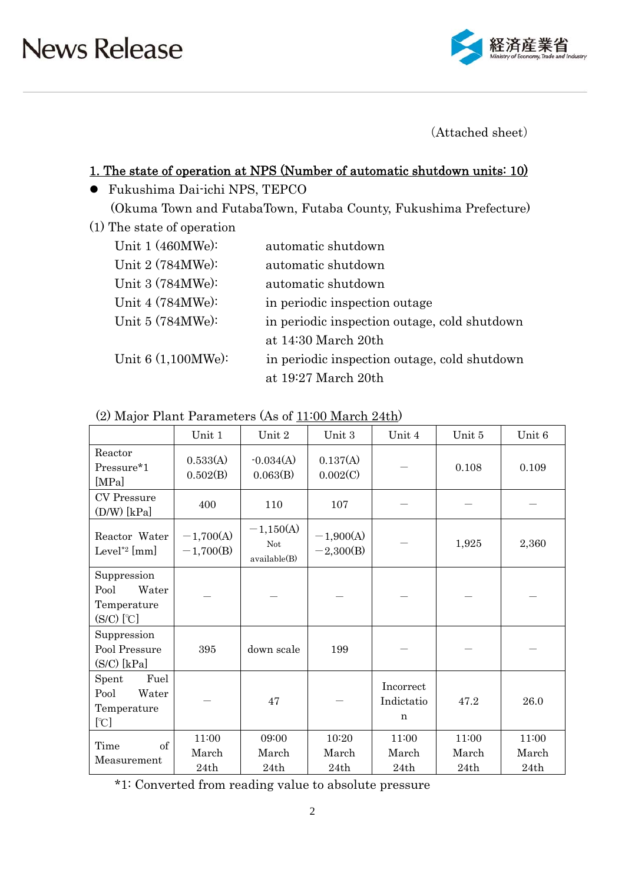

(Attached sheet)

### 1. The state of operation at NPS (Number of automatic shutdown units: 10)

- Fukushima Dai-ichi NPS, TEPCO (Okuma Town and FutabaTown, Futaba County, Fukushima Prefecture)
- (1) The state of operation

| Unit 1 (460MWe):     | automatic shutdown                           |
|----------------------|----------------------------------------------|
| Unit 2 (784MWe):     | automatic shutdown                           |
| Unit 3 (784MWe):     | automatic shutdown                           |
| Unit 4 (784MWe):     | in periodic inspection outage                |
| Unit 5 (784MWe):     | in periodic inspection outage, cold shutdown |
|                      | at 14:30 March 20th                          |
| Unit $6(1,100MWe)$ : | in periodic inspection outage, cold shutdown |
|                      | at 19:27 March 20th                          |

|                                                                             | Unit 1                     | Unit 2                             | Unit 3                     | Unit 4                       | Unit 5                 | Unit 6                 |
|-----------------------------------------------------------------------------|----------------------------|------------------------------------|----------------------------|------------------------------|------------------------|------------------------|
| Reactor<br>Pressure*1<br>[MPa]                                              | 0.533(A)<br>0.502(B)       | $-0.034(A)$<br>0.063(B)            | 0.137(A)<br>0.002(C)       |                              | 0.108                  | 0.109                  |
| CV Pressure<br>$(D/W)$ [kPa]                                                | 400                        | 110                                | 107                        |                              |                        |                        |
| Reactor Water<br>Level <sup>*2</sup> [mm]                                   | $-1,700(A)$<br>$-1,700(B)$ | $-1,150(A)$<br>Not<br>available(B) | $-1,900(A)$<br>$-2,300(B)$ |                              | 1,925                  | 2,360                  |
| Suppression<br>Pool<br>Water<br>Temperature<br>$(S/C)$ $[\mathcal{C}]$      |                            |                                    |                            |                              |                        |                        |
| Suppression<br>Pool Pressure<br>$(S/C)$ [kPa]                               | 395                        | down scale                         | 199                        |                              |                        |                        |
| Fuel<br>Spent<br>Pool<br>Water<br>Temperature<br>$\lbrack \text{C} \rbrack$ |                            | 47                                 |                            | Incorrect<br>Indictatio<br>n | 47.2                   | 26.0                   |
| Time<br>of<br>Measurement                                                   | 11:00<br>March<br>24th     | 09:00<br>March<br>24th             | 10:20<br>March<br>24th     | 11:00<br>March<br>24th       | 11:00<br>March<br>24th | 11:00<br>March<br>24th |

#### (2) Major Plant Parameters (As of 11:00 March 24th)

\*1: Converted from reading value to absolute pressure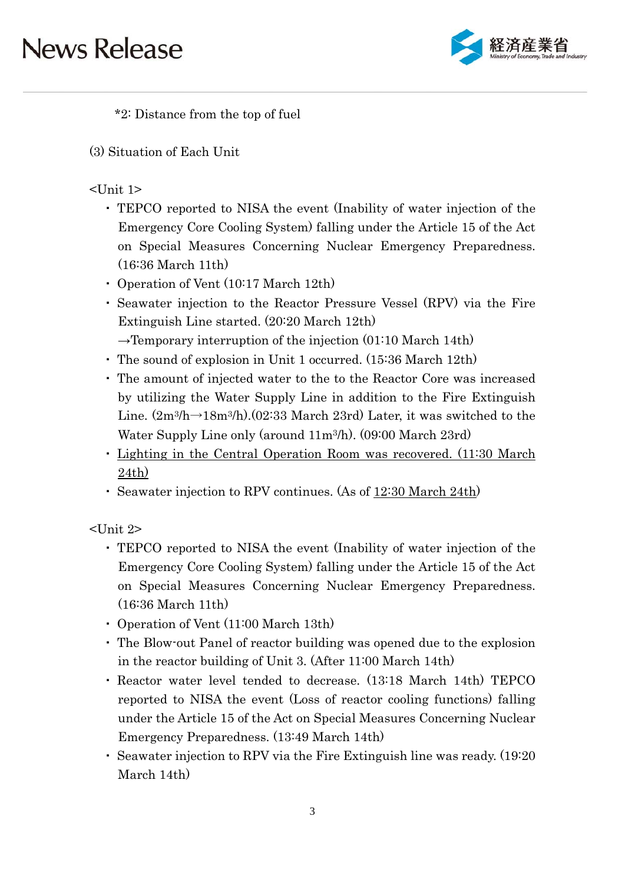

\*2: Distance from the top of fuel

(3) Situation of Each Unit

### <Unit 1>

- ・ TEPCO reported to NISA the event (Inability of water injection of the Emergency Core Cooling System) falling under the Article 15 of the Act on Special Measures Concerning Nuclear Emergency Preparedness. (16:36 March 11th)
- ・ Operation of Vent (10:17 March 12th)
- ・ Seawater injection to the Reactor Pressure Vessel (RPV) via the Fire Extinguish Line started. (20:20 March 12th)
- $\rightarrow$ Temporary interruption of the injection (01:10 March 14th)
- ・ The sound of explosion in Unit 1 occurred. (15:36 March 12th)
- ・ The amount of injected water to the to the Reactor Core was increased by utilizing the Water Supply Line in addition to the Fire Extinguish Line.  $(2m^3/h\rightarrow 18m^3/h)$ . (02:33 March 23rd) Later, it was switched to the Water Supply Line only (around 11m3/h). (09:00 March 23rd)
- ・ Lighting in the Central Operation Room was recovered. (11:30 March 24th)
- ・ Seawater injection to RPV continues. (As of 12:30 March 24th)

<Unit 2>

- ・ TEPCO reported to NISA the event (Inability of water injection of the Emergency Core Cooling System) falling under the Article 15 of the Act on Special Measures Concerning Nuclear Emergency Preparedness. (16:36 March 11th)
- ・ Operation of Vent (11:00 March 13th)
- ・ The Blow-out Panel of reactor building was opened due to the explosion in the reactor building of Unit 3. (After 11:00 March 14th)
- ・ Reactor water level tended to decrease. (13:18 March 14th) TEPCO reported to NISA the event (Loss of reactor cooling functions) falling under the Article 15 of the Act on Special Measures Concerning Nuclear Emergency Preparedness. (13:49 March 14th)
- ・ Seawater injection to RPV via the Fire Extinguish line was ready. (19:20 March 14th)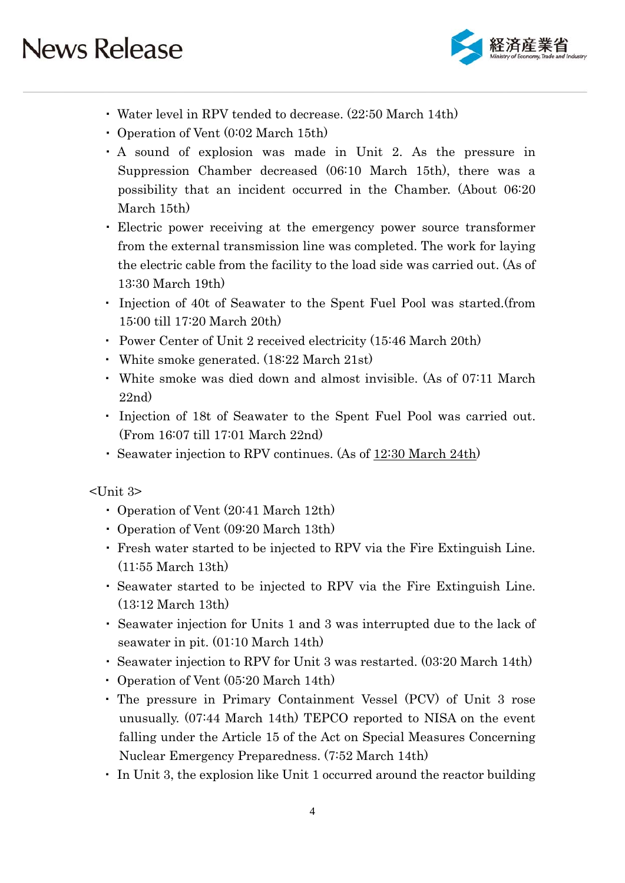

- ・ Water level in RPV tended to decrease. (22:50 March 14th)
- ・ Operation of Vent (0:02 March 15th)
- ・ A sound of explosion was made in Unit 2. As the pressure in Suppression Chamber decreased (06:10 March 15th), there was a possibility that an incident occurred in the Chamber. (About 06:20 March 15th)
- ・ Electric power receiving at the emergency power source transformer from the external transmission line was completed. The work for laying the electric cable from the facility to the load side was carried out. (As of 13:30 March 19th)
- ・ Injection of 40t of Seawater to the Spent Fuel Pool was started.(from 15:00 till 17:20 March 20th)
- ・ Power Center of Unit 2 received electricity (15:46 March 20th)
- ・ White smoke generated. (18:22 March 21st)
- ・ White smoke was died down and almost invisible. (As of 07:11 March 22nd)
- ・ Injection of 18t of Seawater to the Spent Fuel Pool was carried out. (From 16:07 till 17:01 March 22nd)
- ・ Seawater injection to RPV continues. (As of 12:30 March 24th)

<Unit 3>

- ・ Operation of Vent (20:41 March 12th)
- ・ Operation of Vent (09:20 March 13th)
- ・ Fresh water started to be injected to RPV via the Fire Extinguish Line. (11:55 March 13th)
- ・ Seawater started to be injected to RPV via the Fire Extinguish Line. (13:12 March 13th)
- ・ Seawater injection for Units 1 and 3 was interrupted due to the lack of seawater in pit. (01:10 March 14th)
- ・ Seawater injection to RPV for Unit 3 was restarted. (03:20 March 14th)
- ・ Operation of Vent (05:20 March 14th)
- ・ The pressure in Primary Containment Vessel (PCV) of Unit 3 rose unusually. (07:44 March 14th) TEPCO reported to NISA on the event falling under the Article 15 of the Act on Special Measures Concerning Nuclear Emergency Preparedness. (7:52 March 14th)
- ・ In Unit 3, the explosion like Unit 1 occurred around the reactor building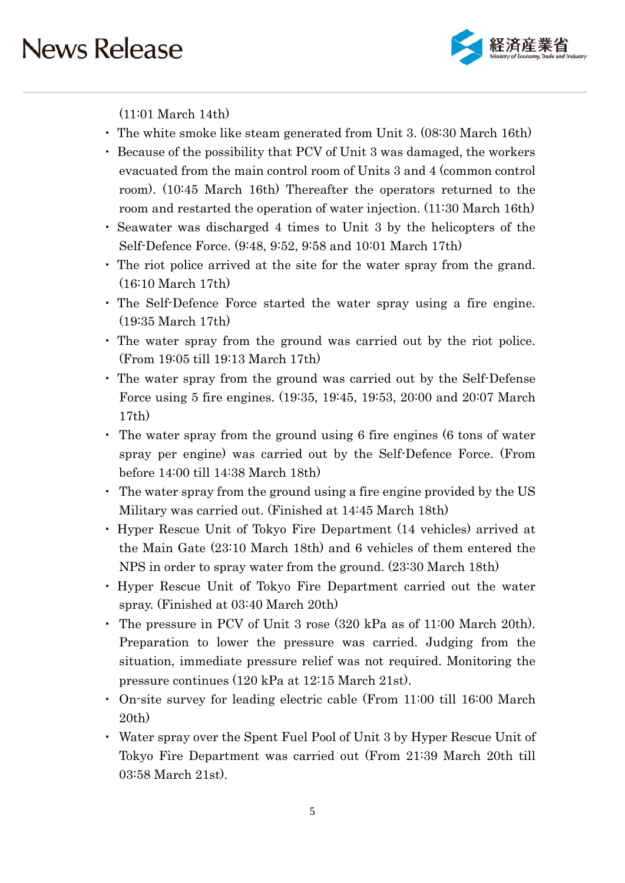

(11:01 March 14th)

- ・ The white smoke like steam generated from Unit 3. (08:30 March 16th)
- ・ Because of the possibility that PCV of Unit 3 was damaged, the workers evacuated from the main control room of Units 3 and 4 (common control room). (10:45 March 16th) Thereafter the operators returned to the room and restarted the operation of water injection. (11:30 March 16th)
- ・ Seawater was discharged 4 times to Unit 3 by the helicopters of the Self-Defence Force. (9:48, 9:52, 9:58 and 10:01 March 17th)
- ・ The riot police arrived at the site for the water spray from the grand. (16:10 March 17th)
- ・ The Self-Defence Force started the water spray using a fire engine. (19:35 March 17th)
- ・ The water spray from the ground was carried out by the riot police. (From 19:05 till 19:13 March 17th)
- ・ The water spray from the ground was carried out by the Self-Defense Force using 5 fire engines. (19:35, 19:45, 19:53, 20:00 and 20:07 March 17th)
- ・ The water spray from the ground using 6 fire engines (6 tons of water spray per engine) was carried out by the Self-Defence Force. (From before 14:00 till 14:38 March 18th)
- ・ The water spray from the ground using a fire engine provided by the US Military was carried out. (Finished at 14:45 March 18th)
- ・ Hyper Rescue Unit of Tokyo Fire Department (14 vehicles) arrived at the Main Gate (23:10 March 18th) and 6 vehicles of them entered the NPS in order to spray water from the ground. (23:30 March 18th)
- ・ Hyper Rescue Unit of Tokyo Fire Department carried out the water spray. (Finished at 03:40 March 20th)
- ・ The pressure in PCV of Unit 3 rose (320 kPa as of 11:00 March 20th). Preparation to lower the pressure was carried. Judging from the situation, immediate pressure relief was not required. Monitoring the pressure continues (120 kPa at 12:15 March 21st).
- ・ On-site survey for leading electric cable (From 11:00 till 16:00 March 20th)
- ・ Water spray over the Spent Fuel Pool of Unit 3 by Hyper Rescue Unit of Tokyo Fire Department was carried out (From 21:39 March 20th till 03:58 March 21st).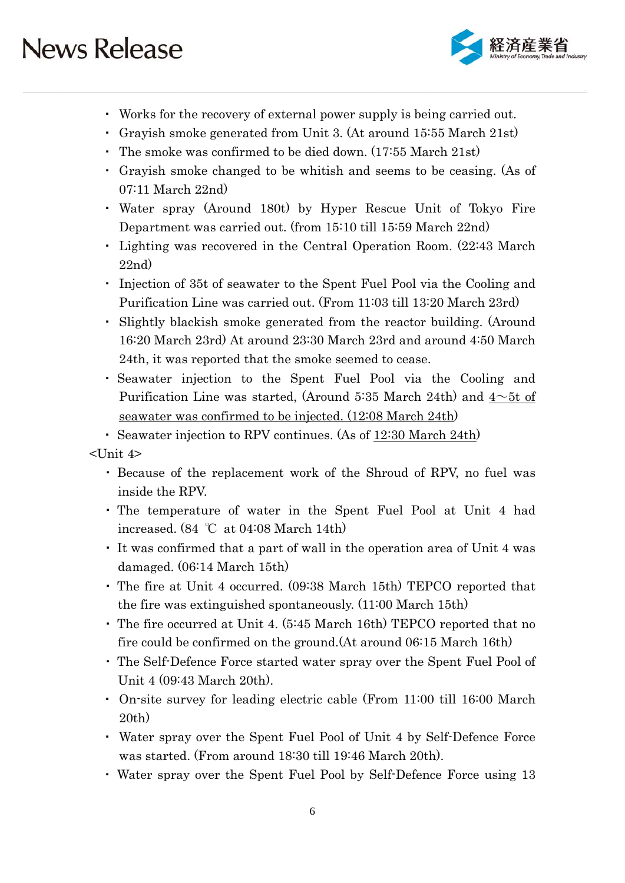

- ・ Works for the recovery of external power supply is being carried out.
- ・ Grayish smoke generated from Unit 3. (At around 15:55 March 21st)
- ・ The smoke was confirmed to be died down. (17:55 March 21st)
- ・ Grayish smoke changed to be whitish and seems to be ceasing. (As of 07:11 March 22nd)
- ・ Water spray (Around 180t) by Hyper Rescue Unit of Tokyo Fire Department was carried out. (from 15:10 till 15:59 March 22nd)
- ・ Lighting was recovered in the Central Operation Room. (22:43 March 22nd)
- ・ Injection of 35t of seawater to the Spent Fuel Pool via the Cooling and Purification Line was carried out. (From 11:03 till 13:20 March 23rd)
- ・ Slightly blackish smoke generated from the reactor building. (Around 16:20 March 23rd) At around 23:30 March 23rd and around 4:50 March 24th, it was reported that the smoke seemed to cease.
- ・ Seawater injection to the Spent Fuel Pool via the Cooling and Purification Line was started, (Around 5:35 March 24th) and  $4 \sim 5t$  of seawater was confirmed to be injected. (12:08 March 24th)
- ・ Seawater injection to RPV continues. (As of 12:30 March 24th)

<Unit 4>

- ・ Because of the replacement work of the Shroud of RPV, no fuel was inside the RPV.
- ・ The temperature of water in the Spent Fuel Pool at Unit 4 had increased. (84 ℃ at 04:08 March 14th)
- ・ It was confirmed that a part of wall in the operation area of Unit 4 was damaged. (06:14 March 15th)
- ・ The fire at Unit 4 occurred. (09:38 March 15th) TEPCO reported that the fire was extinguished spontaneously. (11:00 March 15th)
- ・ The fire occurred at Unit 4. (5:45 March 16th) TEPCO reported that no fire could be confirmed on the ground.(At around 06:15 March 16th)
- ・ The Self-Defence Force started water spray over the Spent Fuel Pool of Unit 4 (09:43 March 20th).
- ・ On-site survey for leading electric cable (From 11:00 till 16:00 March 20th)
- ・ Water spray over the Spent Fuel Pool of Unit 4 by Self-Defence Force was started. (From around 18:30 till 19:46 March 20th).
- ・ Water spray over the Spent Fuel Pool by Self-Defence Force using 13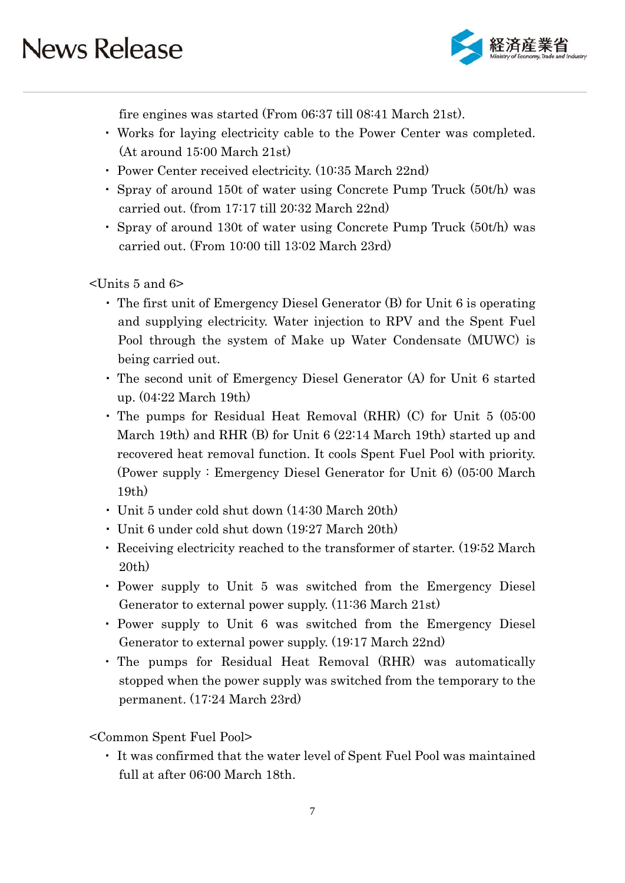

fire engines was started (From 06:37 till 08:41 March 21st).

- ・ Works for laying electricity cable to the Power Center was completed. (At around 15:00 March 21st)
- ・ Power Center received electricity. (10:35 March 22nd)
- ・ Spray of around 150t of water using Concrete Pump Truck (50t/h) was carried out. (from 17:17 till 20:32 March 22nd)
- ・ Spray of around 130t of water using Concrete Pump Truck (50t/h) was carried out. (From 10:00 till 13:02 March 23rd)

<Units 5 and 6>

- ・ The first unit of Emergency Diesel Generator (B) for Unit 6 is operating and supplying electricity. Water injection to RPV and the Spent Fuel Pool through the system of Make up Water Condensate (MUWC) is being carried out.
- ・ The second unit of Emergency Diesel Generator (A) for Unit 6 started up. (04:22 March 19th)
- ・ The pumps for Residual Heat Removal (RHR) (C) for Unit 5 (05:00 March 19th) and RHR (B) for Unit 6 (22:14 March 19th) started up and recovered heat removal function. It cools Spent Fuel Pool with priority. (Power supply : Emergency Diesel Generator for Unit 6) (05:00 March 19th)
- ・ Unit 5 under cold shut down (14:30 March 20th)
- ・ Unit 6 under cold shut down (19:27 March 20th)
- ・ Receiving electricity reached to the transformer of starter. (19:52 March 20th)
- ・ Power supply to Unit 5 was switched from the Emergency Diesel Generator to external power supply. (11:36 March 21st)
- ・ Power supply to Unit 6 was switched from the Emergency Diesel Generator to external power supply. (19:17 March 22nd)
- ・ The pumps for Residual Heat Removal (RHR) was automatically stopped when the power supply was switched from the temporary to the permanent. (17:24 March 23rd)

<Common Spent Fuel Pool>

・ It was confirmed that the water level of Spent Fuel Pool was maintained full at after 06:00 March 18th.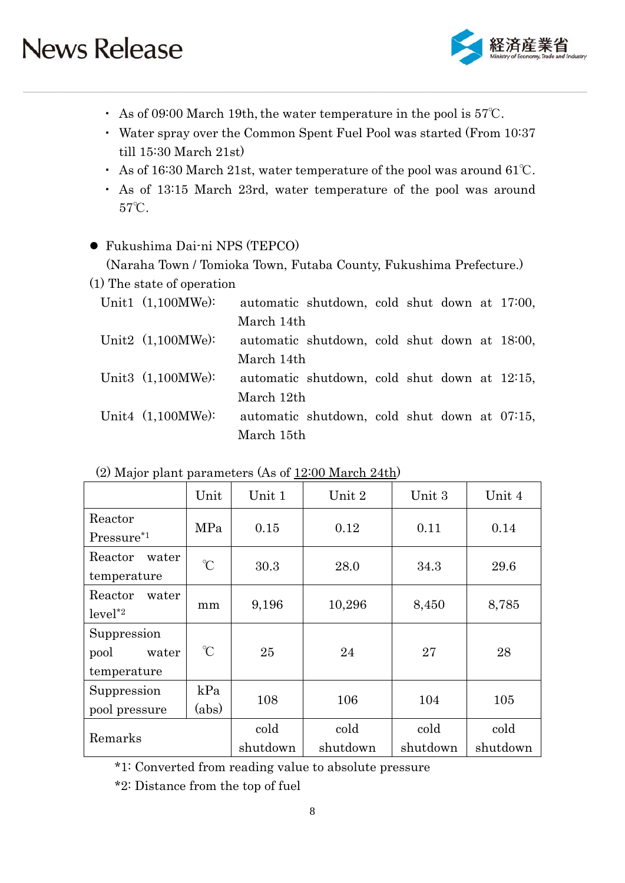

- As of 09:00 March 19th, the water temperature in the pool is  $57^{\circ}$ C.
- ・ Water spray over the Common Spent Fuel Pool was started (From 10:37 till 15:30 March 21st)
- ・ As of 16:30 March 21st, water temperature of the pool was around 61℃.
- ・ As of 13:15 March 23rd, water temperature of the pool was around 57℃.

 Fukushima Dai-ni NPS (TEPCO) (Naraha Town / Tomioka Town, Futaba County, Fukushima Prefecture.)

(1) The state of operation

| Unit1 $(1,100MWe)$ : |            | automatic shutdown, cold shut down at 17:00, |  |  |  |
|----------------------|------------|----------------------------------------------|--|--|--|
|                      | March 14th |                                              |  |  |  |
| Unit2 $(1,100MWe)$ : |            | automatic shutdown, cold shut down at 18:00, |  |  |  |
|                      | March 14th |                                              |  |  |  |
| Unit3 $(1,100MWe)$ : |            | automatic shutdown, cold shut down at 12:15, |  |  |  |
|                      | March 12th |                                              |  |  |  |
| Unit4 $(1,100MWe)$ : |            | automatic shutdown, cold shut down at 07:15, |  |  |  |
|                      | March 15th |                                              |  |  |  |

|                        | Unit         | Unit 1               | Unit 2 | Unit 3   | Unit 4   |  |
|------------------------|--------------|----------------------|--------|----------|----------|--|
| Reactor                | MPa          | 0.15                 | 0.12   | 0.11     | 0.14     |  |
| Pressure <sup>*1</sup> |              |                      |        |          |          |  |
| Reactor<br>water       | $\mathrm{C}$ | 30.3                 | 28.0   | 34.3     | 29.6     |  |
| temperature            |              |                      |        |          |          |  |
| Reactor<br>water       |              |                      |        |          |          |  |
| $level^*2$             | mm           | 9,196                | 10,296 | 8,450    | 8,785    |  |
| Suppression            |              |                      |        |          |          |  |
| pool<br>water          | $\mathrm{C}$ | 25                   | 24     | 27       | 28       |  |
| temperature            |              |                      |        |          |          |  |
| Suppression            | kPa          |                      |        |          | 105      |  |
| pool pressure          | (abs)        | 108                  | 106    | 104      |          |  |
| Remarks                |              | cold                 | cold   | cold     | cold     |  |
|                        |              | shutdown<br>shutdown |        | shutdown | shutdown |  |

(2) Major plant parameters (As of 12:00 March 24th)

\*1: Converted from reading value to absolute pressure

\*2: Distance from the top of fuel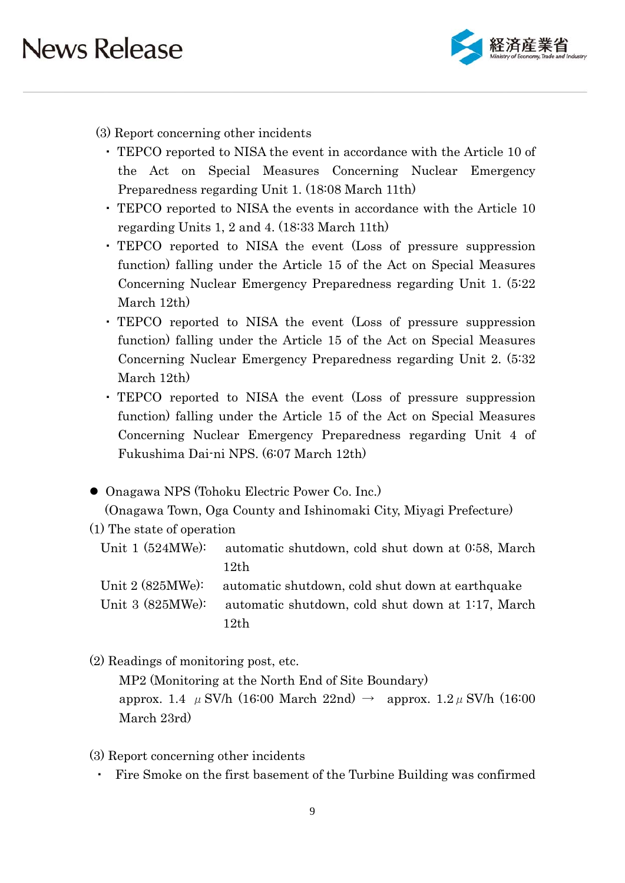

(3) Report concerning other incidents

- ・ TEPCO reported to NISA the event in accordance with the Article 10 of the Act on Special Measures Concerning Nuclear Emergency Preparedness regarding Unit 1. (18:08 March 11th)
- ・ TEPCO reported to NISA the events in accordance with the Article 10 regarding Units 1, 2 and 4. (18:33 March 11th)
- ・ TEPCO reported to NISA the event (Loss of pressure suppression function) falling under the Article 15 of the Act on Special Measures Concerning Nuclear Emergency Preparedness regarding Unit 1. (5:22 March 12th)
- ・ TEPCO reported to NISA the event (Loss of pressure suppression function) falling under the Article 15 of the Act on Special Measures Concerning Nuclear Emergency Preparedness regarding Unit 2. (5:32 March 12th)
- ・ TEPCO reported to NISA the event (Loss of pressure suppression function) falling under the Article 15 of the Act on Special Measures Concerning Nuclear Emergency Preparedness regarding Unit 4 of Fukushima Dai-ni NPS. (6:07 March 12th)
- Onagawa NPS (Tohoku Electric Power Co. Inc.)

(Onagawa Town, Oga County and Ishinomaki City, Miyagi Prefecture) (1) The state of operation

Unit 1 (524MWe): automatic shutdown, cold shut down at 0:58, March 12th Unit 2 (825MWe): automatic shutdown, cold shut down at earthquake

Unit 3 (825MWe): automatic shutdown, cold shut down at 1:17, March 12th

(2) Readings of monitoring post, etc.

MP2 (Monitoring at the North End of Site Boundary) approx. 1.4  $\mu$  SV/h (16:00 March 22nd)  $\rightarrow$  approx. 1.2  $\mu$  SV/h (16:00 March 23rd)

- (3) Report concerning other incidents
	- Fire Smoke on the first basement of the Turbine Building was confirmed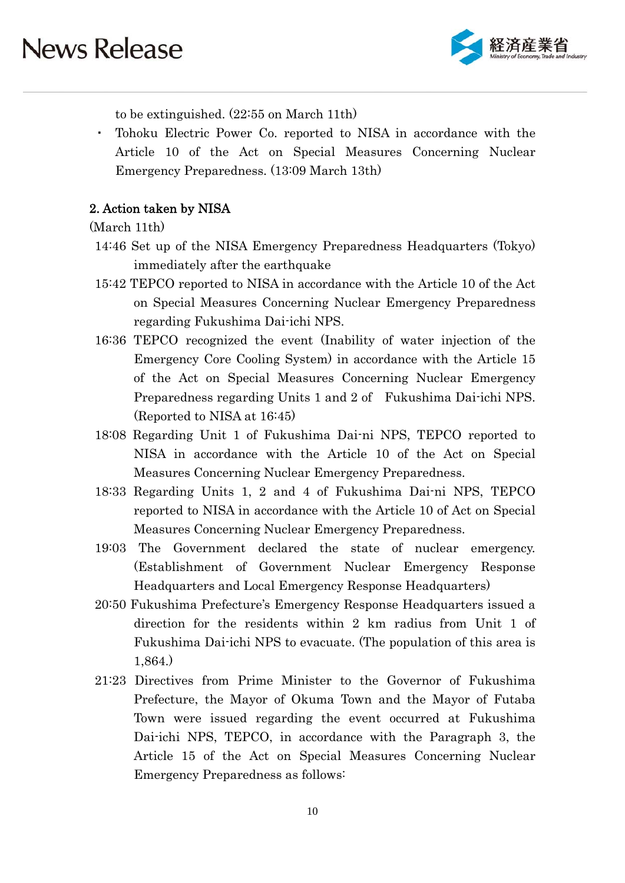

to be extinguished. (22:55 on March 11th)

Tohoku Electric Power Co. reported to NISA in accordance with the Article 10 of the Act on Special Measures Concerning Nuclear Emergency Preparedness. (13:09 March 13th)

#### 2. Action taken by NISA

#### (March 11th)

- 14:46 Set up of the NISA Emergency Preparedness Headquarters (Tokyo) immediately after the earthquake
- 15:42 TEPCO reported to NISA in accordance with the Article 10 of the Act on Special Measures Concerning Nuclear Emergency Preparedness regarding Fukushima Dai-ichi NPS.
- 16:36 TEPCO recognized the event (Inability of water injection of the Emergency Core Cooling System) in accordance with the Article 15 of the Act on Special Measures Concerning Nuclear Emergency Preparedness regarding Units 1 and 2 of Fukushima Dai-ichi NPS. (Reported to NISA at 16:45)
- 18:08 Regarding Unit 1 of Fukushima Dai-ni NPS, TEPCO reported to NISA in accordance with the Article 10 of the Act on Special Measures Concerning Nuclear Emergency Preparedness.
- 18:33 Regarding Units 1, 2 and 4 of Fukushima Dai-ni NPS, TEPCO reported to NISA in accordance with the Article 10 of Act on Special Measures Concerning Nuclear Emergency Preparedness.
- 19:03 The Government declared the state of nuclear emergency. (Establishment of Government Nuclear Emergency Response Headquarters and Local Emergency Response Headquarters)
- 20:50 Fukushima Prefecture's Emergency Response Headquarters issued a direction for the residents within 2 km radius from Unit 1 of Fukushima Dai-ichi NPS to evacuate. (The population of this area is 1,864.)
- 21:23 Directives from Prime Minister to the Governor of Fukushima Prefecture, the Mayor of Okuma Town and the Mayor of Futaba Town were issued regarding the event occurred at Fukushima Dai-ichi NPS, TEPCO, in accordance with the Paragraph 3, the Article 15 of the Act on Special Measures Concerning Nuclear Emergency Preparedness as follows: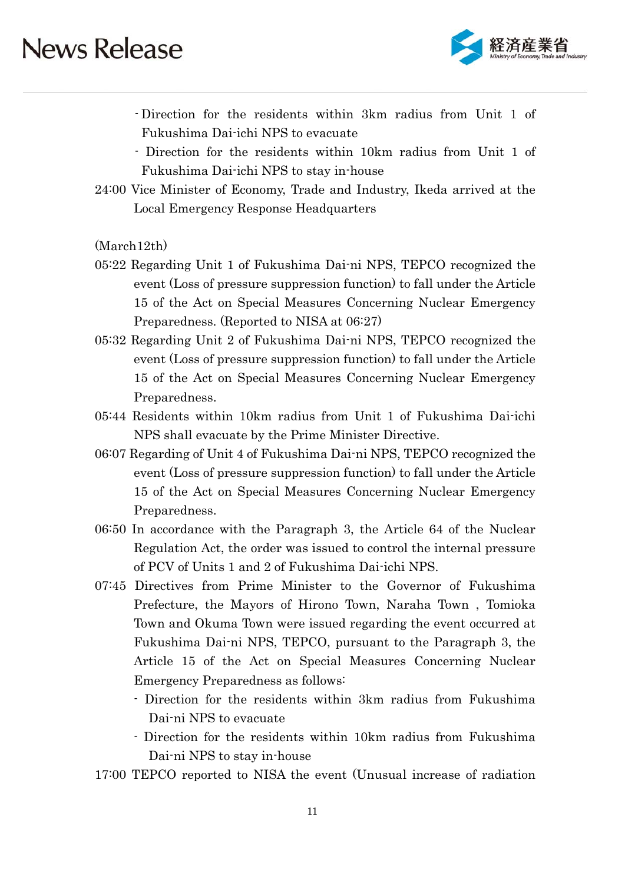

- Direction for the residents within 3km radius from Unit 1 of Fukushima Dai-ichi NPS to evacuate
- Direction for the residents within 10km radius from Unit 1 of Fukushima Dai-ichi NPS to stay in-house
- 24:00 Vice Minister of Economy, Trade and Industry, Ikeda arrived at the Local Emergency Response Headquarters

(March12th)

- 05:22 Regarding Unit 1 of Fukushima Dai-ni NPS, TEPCO recognized the event (Loss of pressure suppression function) to fall under the Article 15 of the Act on Special Measures Concerning Nuclear Emergency Preparedness. (Reported to NISA at 06:27)
- 05:32 Regarding Unit 2 of Fukushima Dai-ni NPS, TEPCO recognized the event (Loss of pressure suppression function) to fall under the Article 15 of the Act on Special Measures Concerning Nuclear Emergency Preparedness.
- 05:44 Residents within 10km radius from Unit 1 of Fukushima Dai-ichi NPS shall evacuate by the Prime Minister Directive.
- 06:07 Regarding of Unit 4 of Fukushima Dai-ni NPS, TEPCO recognized the event (Loss of pressure suppression function) to fall under the Article 15 of the Act on Special Measures Concerning Nuclear Emergency Preparedness.
- 06:50 In accordance with the Paragraph 3, the Article 64 of the Nuclear Regulation Act, the order was issued to control the internal pressure of PCV of Units 1 and 2 of Fukushima Dai-ichi NPS.
- 07:45 Directives from Prime Minister to the Governor of Fukushima Prefecture, the Mayors of Hirono Town, Naraha Town , Tomioka Town and Okuma Town were issued regarding the event occurred at Fukushima Dai-ni NPS, TEPCO, pursuant to the Paragraph 3, the Article 15 of the Act on Special Measures Concerning Nuclear Emergency Preparedness as follows:
	- Direction for the residents within 3km radius from Fukushima Dai-ni NPS to evacuate
	- Direction for the residents within 10km radius from Fukushima Dai-ni NPS to stay in-house
- 17:00 TEPCO reported to NISA the event (Unusual increase of radiation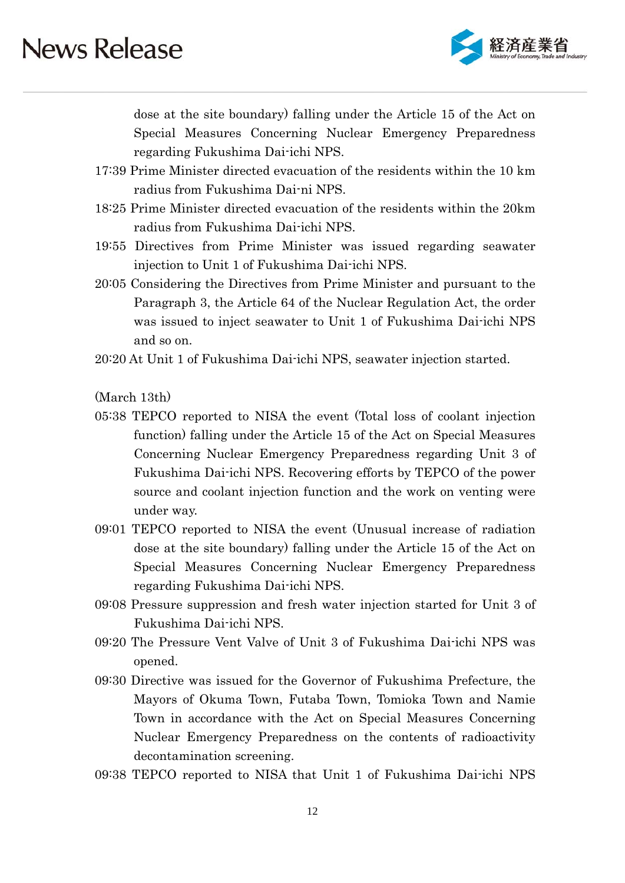

dose at the site boundary) falling under the Article 15 of the Act on Special Measures Concerning Nuclear Emergency Preparedness regarding Fukushima Dai-ichi NPS.

- 17:39 Prime Minister directed evacuation of the residents within the 10 km radius from Fukushima Dai-ni NPS.
- 18:25 Prime Minister directed evacuation of the residents within the 20km radius from Fukushima Dai-ichi NPS.
- 19:55 Directives from Prime Minister was issued regarding seawater injection to Unit 1 of Fukushima Dai-ichi NPS.
- 20:05 Considering the Directives from Prime Minister and pursuant to the Paragraph 3, the Article 64 of the Nuclear Regulation Act, the order was issued to inject seawater to Unit 1 of Fukushima Dai-ichi NPS and so on.
- 20:20 At Unit 1 of Fukushima Dai-ichi NPS, seawater injection started.

(March 13th)

- 05:38 TEPCO reported to NISA the event (Total loss of coolant injection function) falling under the Article 15 of the Act on Special Measures Concerning Nuclear Emergency Preparedness regarding Unit 3 of Fukushima Dai-ichi NPS. Recovering efforts by TEPCO of the power source and coolant injection function and the work on venting were under way.
- 09:01 TEPCO reported to NISA the event (Unusual increase of radiation dose at the site boundary) falling under the Article 15 of the Act on Special Measures Concerning Nuclear Emergency Preparedness regarding Fukushima Dai-ichi NPS.
- 09:08 Pressure suppression and fresh water injection started for Unit 3 of Fukushima Dai-ichi NPS.
- 09:20 The Pressure Vent Valve of Unit 3 of Fukushima Dai-ichi NPS was opened.
- 09:30 Directive was issued for the Governor of Fukushima Prefecture, the Mayors of Okuma Town, Futaba Town, Tomioka Town and Namie Town in accordance with the Act on Special Measures Concerning Nuclear Emergency Preparedness on the contents of radioactivity decontamination screening.
- 09:38 TEPCO reported to NISA that Unit 1 of Fukushima Dai-ichi NPS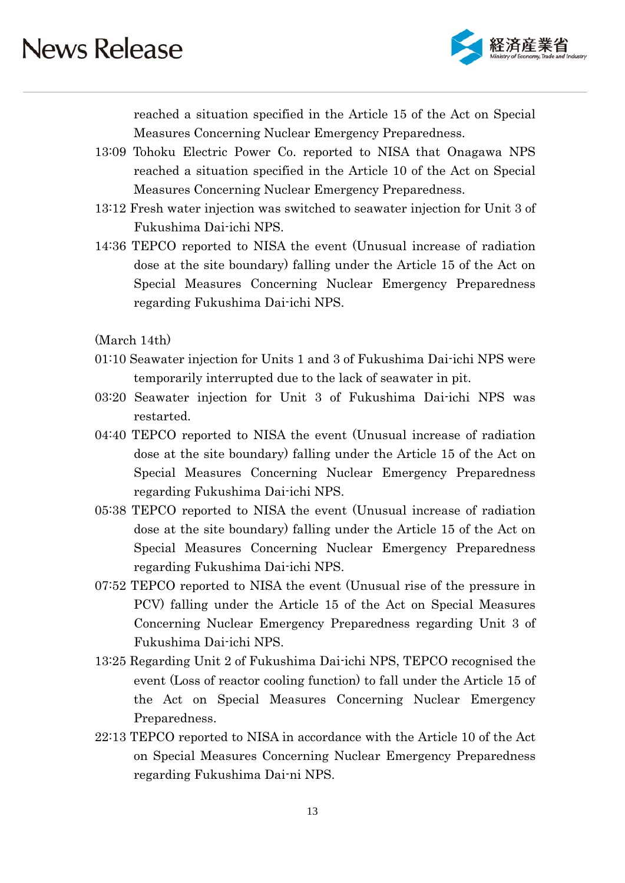

reached a situation specified in the Article 15 of the Act on Special Measures Concerning Nuclear Emergency Preparedness.

- 13:09 Tohoku Electric Power Co. reported to NISA that Onagawa NPS reached a situation specified in the Article 10 of the Act on Special Measures Concerning Nuclear Emergency Preparedness.
- 13:12 Fresh water injection was switched to seawater injection for Unit 3 of Fukushima Dai-ichi NPS.
- 14:36 TEPCO reported to NISA the event (Unusual increase of radiation dose at the site boundary) falling under the Article 15 of the Act on Special Measures Concerning Nuclear Emergency Preparedness regarding Fukushima Dai-ichi NPS.

(March 14th)

- 01:10 Seawater injection for Units 1 and 3 of Fukushima Dai-ichi NPS were temporarily interrupted due to the lack of seawater in pit.
- 03:20 Seawater injection for Unit 3 of Fukushima Dai-ichi NPS was restarted.
- 04:40 TEPCO reported to NISA the event (Unusual increase of radiation dose at the site boundary) falling under the Article 15 of the Act on Special Measures Concerning Nuclear Emergency Preparedness regarding Fukushima Dai-ichi NPS.
- 05:38 TEPCO reported to NISA the event (Unusual increase of radiation dose at the site boundary) falling under the Article 15 of the Act on Special Measures Concerning Nuclear Emergency Preparedness regarding Fukushima Dai-ichi NPS.
- 07:52 TEPCO reported to NISA the event (Unusual rise of the pressure in PCV) falling under the Article 15 of the Act on Special Measures Concerning Nuclear Emergency Preparedness regarding Unit 3 of Fukushima Dai-ichi NPS.
- 13:25 Regarding Unit 2 of Fukushima Dai-ichi NPS, TEPCO recognised the event (Loss of reactor cooling function) to fall under the Article 15 of the Act on Special Measures Concerning Nuclear Emergency Preparedness.
- 22:13 TEPCO reported to NISA in accordance with the Article 10 of the Act on Special Measures Concerning Nuclear Emergency Preparedness regarding Fukushima Dai-ni NPS.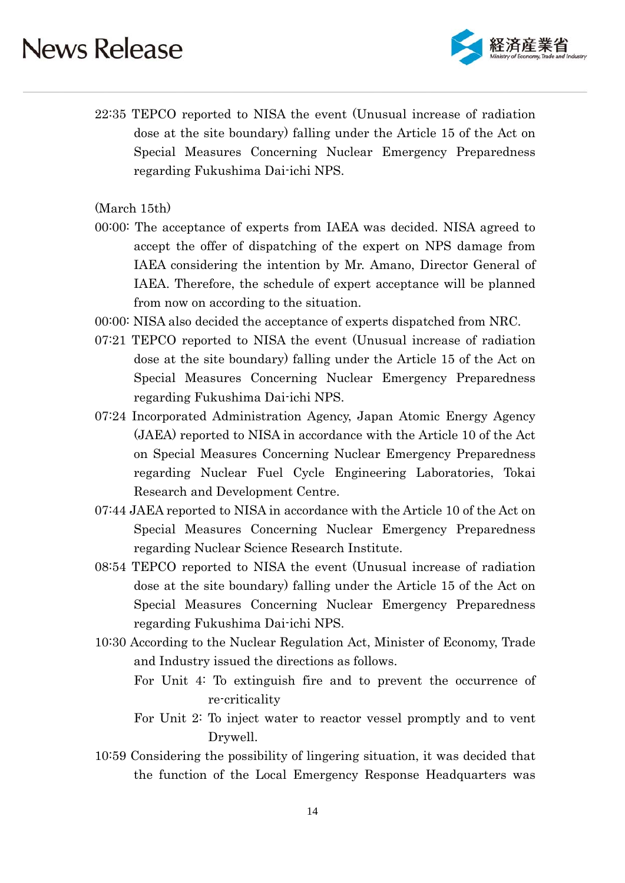

22:35 TEPCO reported to NISA the event (Unusual increase of radiation dose at the site boundary) falling under the Article 15 of the Act on Special Measures Concerning Nuclear Emergency Preparedness regarding Fukushima Dai-ichi NPS.

(March 15th)

- 00:00: The acceptance of experts from IAEA was decided. NISA agreed to accept the offer of dispatching of the expert on NPS damage from IAEA considering the intention by Mr. Amano, Director General of IAEA. Therefore, the schedule of expert acceptance will be planned from now on according to the situation.
- 00:00: NISA also decided the acceptance of experts dispatched from NRC.
- 07:21 TEPCO reported to NISA the event (Unusual increase of radiation dose at the site boundary) falling under the Article 15 of the Act on Special Measures Concerning Nuclear Emergency Preparedness regarding Fukushima Dai-ichi NPS.
- 07:24 Incorporated Administration Agency, Japan Atomic Energy Agency (JAEA) reported to NISA in accordance with the Article 10 of the Act on Special Measures Concerning Nuclear Emergency Preparedness regarding Nuclear Fuel Cycle Engineering Laboratories, Tokai Research and Development Centre.
- 07:44 JAEA reported to NISA in accordance with the Article 10 of the Act on Special Measures Concerning Nuclear Emergency Preparedness regarding Nuclear Science Research Institute.
- 08:54 TEPCO reported to NISA the event (Unusual increase of radiation dose at the site boundary) falling under the Article 15 of the Act on Special Measures Concerning Nuclear Emergency Preparedness regarding Fukushima Dai-ichi NPS.
- 10:30 According to the Nuclear Regulation Act, Minister of Economy, Trade and Industry issued the directions as follows.
	- For Unit 4: To extinguish fire and to prevent the occurrence of re-criticality
	- For Unit 2: To inject water to reactor vessel promptly and to vent Drywell.
- 10:59 Considering the possibility of lingering situation, it was decided that the function of the Local Emergency Response Headquarters was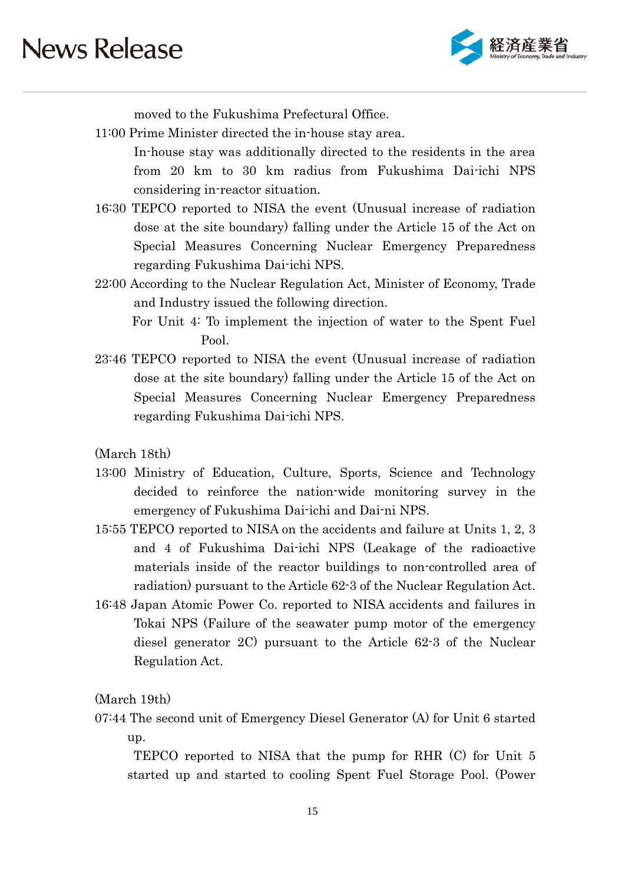

moved to the Fukushima Prefectural Office.

11:00 Prime Minister directed the in-house stay area.

 In-house stay was additionally directed to the residents in the area from 20 km to 30 km radius from Fukushima Dai-ichi NPS considering in-reactor situation.

- 16:30 TEPCO reported to NISA the event (Unusual increase of radiation dose at the site boundary) falling under the Article 15 of the Act on Special Measures Concerning Nuclear Emergency Preparedness regarding Fukushima Dai-ichi NPS.
- 22:00 According to the Nuclear Regulation Act, Minister of Economy, Trade and Industry issued the following direction.
	- For Unit 4: To implement the injection of water to the Spent Fuel Pool.
- 23:46 TEPCO reported to NISA the event (Unusual increase of radiation dose at the site boundary) falling under the Article 15 of the Act on Special Measures Concerning Nuclear Emergency Preparedness regarding Fukushima Dai-ichi NPS.

(March 18th)

- 13:00 Ministry of Education, Culture, Sports, Science and Technology decided to reinforce the nation-wide monitoring survey in the emergency of Fukushima Dai-ichi and Dai-ni NPS.
- 15:55 TEPCO reported to NISA on the accidents and failure at Units 1, 2, 3 and 4 of Fukushima Dai-ichi NPS (Leakage of the radioactive materials inside of the reactor buildings to non-controlled area of radiation) pursuant to the Article 62-3 of the Nuclear Regulation Act.
- 16:48 Japan Atomic Power Co. reported to NISA accidents and failures in Tokai NPS (Failure of the seawater pump motor of the emergency diesel generator 2C) pursuant to the Article 62-3 of the Nuclear Regulation Act.

(March 19th)

07:44 The second unit of Emergency Diesel Generator (A) for Unit 6 started up.

 TEPCO reported to NISA that the pump for RHR (C) for Unit 5 started up and started to cooling Spent Fuel Storage Pool. (Power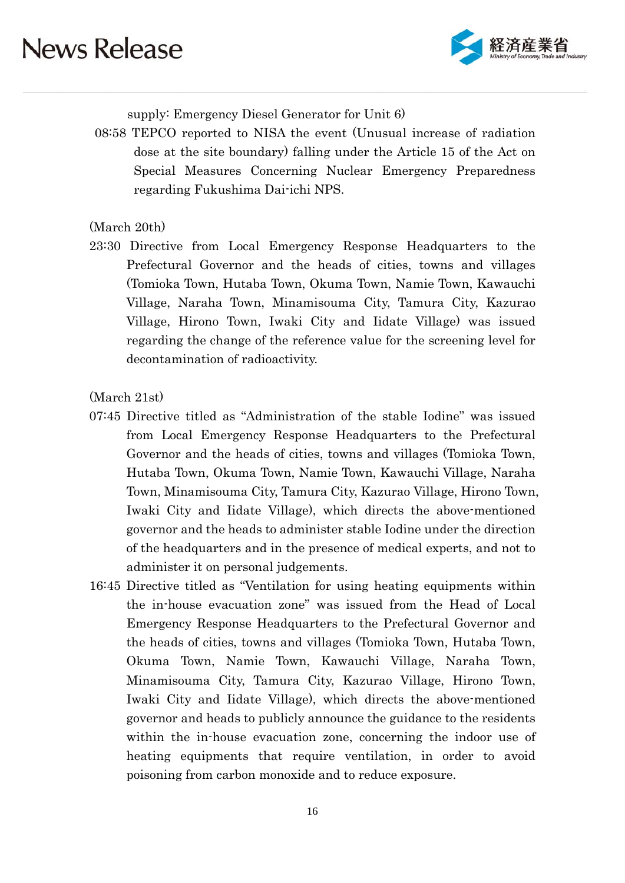

supply: Emergency Diesel Generator for Unit 6)

08:58 TEPCO reported to NISA the event (Unusual increase of radiation dose at the site boundary) falling under the Article 15 of the Act on Special Measures Concerning Nuclear Emergency Preparedness regarding Fukushima Dai-ichi NPS.

#### (March 20th)

23:30 Directive from Local Emergency Response Headquarters to the Prefectural Governor and the heads of cities, towns and villages (Tomioka Town, Hutaba Town, Okuma Town, Namie Town, Kawauchi Village, Naraha Town, Minamisouma City, Tamura City, Kazurao Village, Hirono Town, Iwaki City and Iidate Village) was issued regarding the change of the reference value for the screening level for decontamination of radioactivity.

#### (March 21st)

- 07:45 Directive titled as "Administration of the stable Iodine" was issued from Local Emergency Response Headquarters to the Prefectural Governor and the heads of cities, towns and villages (Tomioka Town, Hutaba Town, Okuma Town, Namie Town, Kawauchi Village, Naraha Town, Minamisouma City, Tamura City, Kazurao Village, Hirono Town, Iwaki City and Iidate Village), which directs the above-mentioned governor and the heads to administer stable Iodine under the direction of the headquarters and in the presence of medical experts, and not to administer it on personal judgements.
- 16:45 Directive titled as "Ventilation for using heating equipments within the in-house evacuation zone" was issued from the Head of Local Emergency Response Headquarters to the Prefectural Governor and the heads of cities, towns and villages (Tomioka Town, Hutaba Town, Okuma Town, Namie Town, Kawauchi Village, Naraha Town, Minamisouma City, Tamura City, Kazurao Village, Hirono Town, Iwaki City and Iidate Village), which directs the above-mentioned governor and heads to publicly announce the guidance to the residents within the in-house evacuation zone, concerning the indoor use of heating equipments that require ventilation, in order to avoid poisoning from carbon monoxide and to reduce exposure.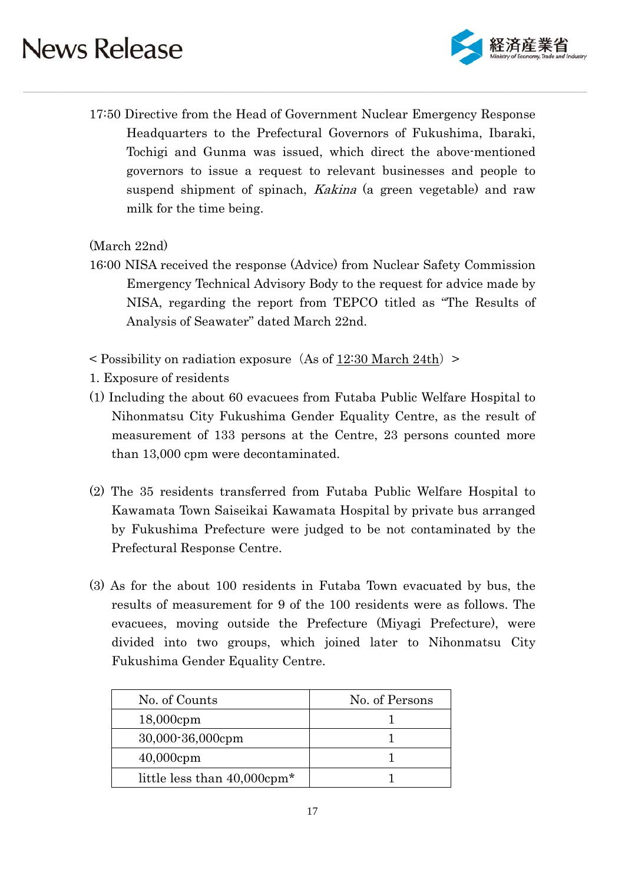

17:50 Directive from the Head of Government Nuclear Emergency Response Headquarters to the Prefectural Governors of Fukushima, Ibaraki, Tochigi and Gunma was issued, which direct the above-mentioned governors to issue a request to relevant businesses and people to suspend shipment of spinach, *Kakina* (a green vegetable) and raw milk for the time being.

#### (March 22nd)

- 16:00 NISA received the response (Advice) from Nuclear Safety Commission Emergency Technical Advisory Body to the request for advice made by NISA, regarding the report from TEPCO titled as "The Results of Analysis of Seawater" dated March 22nd.
- $\leq$  Possibility on radiation exposure (As of 12:30 March 24th)  $\geq$
- 1. Exposure of residents
- (1) Including the about 60 evacuees from Futaba Public Welfare Hospital to Nihonmatsu City Fukushima Gender Equality Centre, as the result of measurement of 133 persons at the Centre, 23 persons counted more than 13,000 cpm were decontaminated.
- (2) The 35 residents transferred from Futaba Public Welfare Hospital to Kawamata Town Saiseikai Kawamata Hospital by private bus arranged by Fukushima Prefecture were judged to be not contaminated by the Prefectural Response Centre.
- (3) As for the about 100 residents in Futaba Town evacuated by bus, the results of measurement for 9 of the 100 residents were as follows. The evacuees, moving outside the Prefecture (Miyagi Prefecture), were divided into two groups, which joined later to Nihonmatsu City Fukushima Gender Equality Centre.

| No. of Counts                           | No. of Persons |
|-----------------------------------------|----------------|
| $18,000$ cpm                            |                |
| 30,000-36,000cpm                        |                |
| $40,000$ cpm                            |                |
| little less than 40,000cpm <sup>*</sup> |                |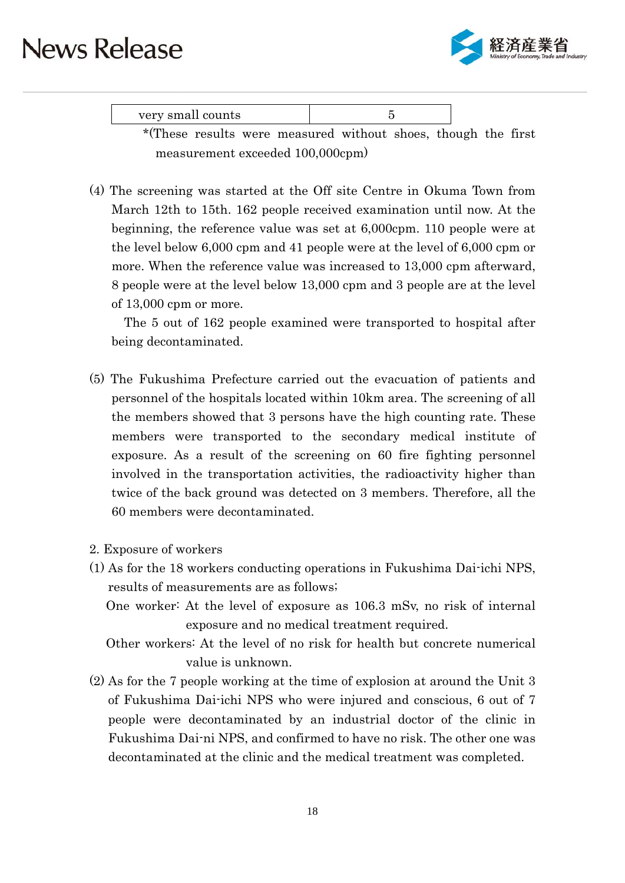

| very small counts |  |  |  |  |
|-------------------|--|--|--|--|
| .                 |  |  |  |  |

 \*(These results were measured without shoes, though the first measurement exceeded 100,000cpm)

(4) The screening was started at the Off site Centre in Okuma Town from March 12th to 15th. 162 people received examination until now. At the beginning, the reference value was set at 6,000cpm. 110 people were at the level below 6,000 cpm and 41 people were at the level of 6,000 cpm or more. When the reference value was increased to 13,000 cpm afterward, 8 people were at the level below 13,000 cpm and 3 people are at the level of 13,000 cpm or more.

The 5 out of 162 people examined were transported to hospital after being decontaminated.

- (5) The Fukushima Prefecture carried out the evacuation of patients and personnel of the hospitals located within 10km area. The screening of all the members showed that 3 persons have the high counting rate. These members were transported to the secondary medical institute of exposure. As a result of the screening on 60 fire fighting personnel involved in the transportation activities, the radioactivity higher than twice of the back ground was detected on 3 members. Therefore, all the 60 members were decontaminated.
- 2. Exposure of workers
- (1) As for the 18 workers conducting operations in Fukushima Dai-ichi NPS, results of measurements are as follows;
	- One worker: At the level of exposure as 106.3 mSv, no risk of internal exposure and no medical treatment required.
	- Other workers: At the level of no risk for health but concrete numerical value is unknown.
- (2) As for the 7 people working at the time of explosion at around the Unit 3 of Fukushima Dai-ichi NPS who were injured and conscious, 6 out of 7 people were decontaminated by an industrial doctor of the clinic in Fukushima Dai-ni NPS, and confirmed to have no risk. The other one was decontaminated at the clinic and the medical treatment was completed.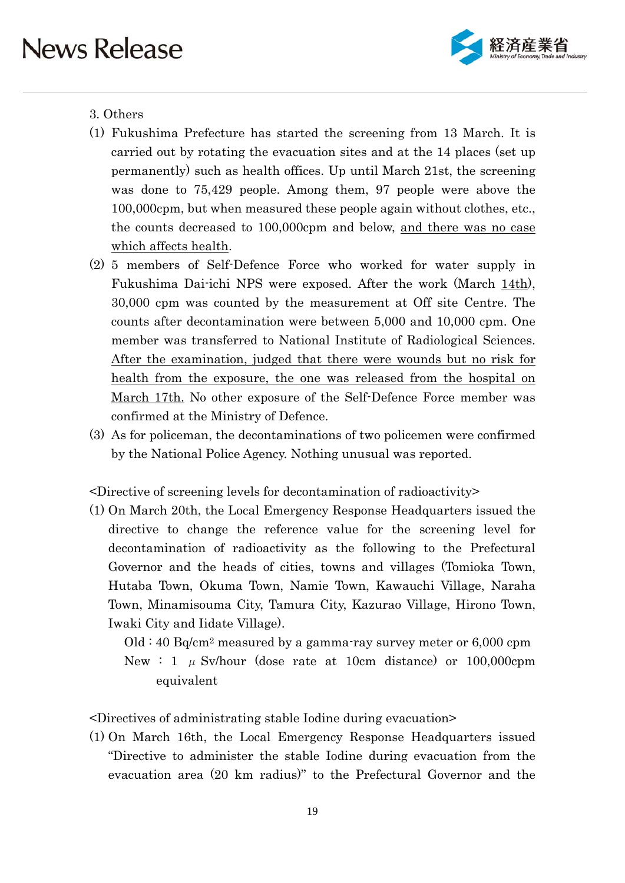

#### 3. Others

- (1) Fukushima Prefecture has started the screening from 13 March. It is carried out by rotating the evacuation sites and at the 14 places (set up permanently) such as health offices. Up until March 21st, the screening was done to 75,429 people. Among them, 97 people were above the 100,000cpm, but when measured these people again without clothes, etc., the counts decreased to 100,000cpm and below, and there was no case which affects health.
- (2) 5 members of Self-Defence Force who worked for water supply in Fukushima Dai-ichi NPS were exposed. After the work (March 14th), 30,000 cpm was counted by the measurement at Off site Centre. The counts after decontamination were between 5,000 and 10,000 cpm. One member was transferred to National Institute of Radiological Sciences. After the examination, judged that there were wounds but no risk for health from the exposure, the one was released from the hospital on March 17th. No other exposure of the Self-Defence Force member was confirmed at the Ministry of Defence.
- (3) As for policeman, the decontaminations of two policemen were confirmed by the National Police Agency. Nothing unusual was reported.

<Directive of screening levels for decontamination of radioactivity>

(1) On March 20th, the Local Emergency Response Headquarters issued the directive to change the reference value for the screening level for decontamination of radioactivity as the following to the Prefectural Governor and the heads of cities, towns and villages (Tomioka Town, Hutaba Town, Okuma Town, Namie Town, Kawauchi Village, Naraha Town, Minamisouma City, Tamura City, Kazurao Village, Hirono Town, Iwaki City and Iidate Village).

 $Old: 40 Bq/cm<sup>2</sup> measured by a gamma-ray survey meter or 6,000 rpm$ New : 1  $\mu$  Sv/hour (dose rate at 10cm distance) or 100,000cpm equivalent

<Directives of administrating stable Iodine during evacuation>

(1) On March 16th, the Local Emergency Response Headquarters issued "Directive to administer the stable Iodine during evacuation from the evacuation area (20 km radius)" to the Prefectural Governor and the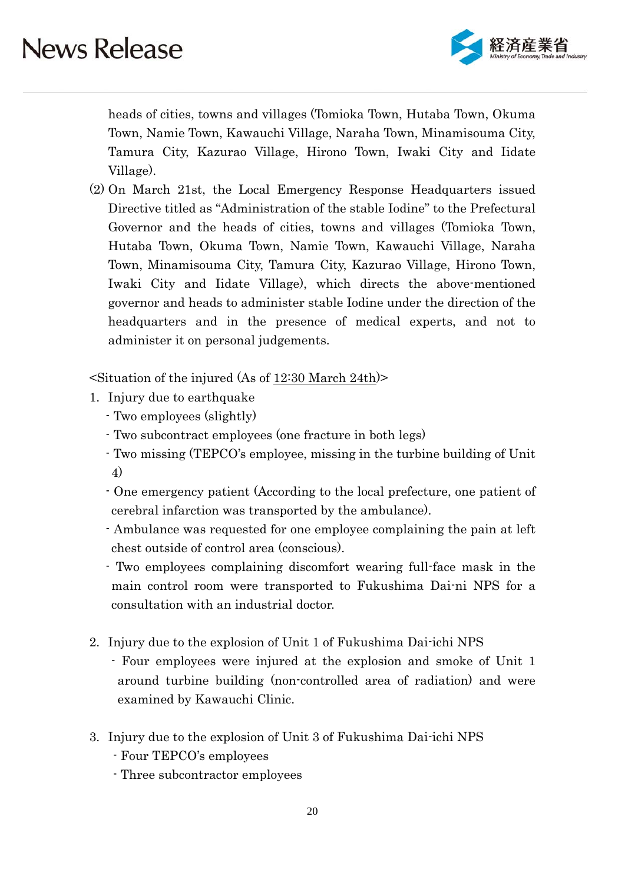

heads of cities, towns and villages (Tomioka Town, Hutaba Town, Okuma Town, Namie Town, Kawauchi Village, Naraha Town, Minamisouma City, Tamura City, Kazurao Village, Hirono Town, Iwaki City and Iidate Village).

(2) On March 21st, the Local Emergency Response Headquarters issued Directive titled as "Administration of the stable Iodine" to the Prefectural Governor and the heads of cities, towns and villages (Tomioka Town, Hutaba Town, Okuma Town, Namie Town, Kawauchi Village, Naraha Town, Minamisouma City, Tamura City, Kazurao Village, Hirono Town, Iwaki City and Iidate Village), which directs the above-mentioned governor and heads to administer stable Iodine under the direction of the headquarters and in the presence of medical experts, and not to administer it on personal judgements.

<Situation of the injured (As of 12:30 March 24th)>

- 1. Injury due to earthquake
	- Two employees (slightly)
	- Two subcontract employees (one fracture in both legs)
	- Two missing (TEPCO's employee, missing in the turbine building of Unit 4)
	- One emergency patient (According to the local prefecture, one patient of cerebral infarction was transported by the ambulance).
	- Ambulance was requested for one employee complaining the pain at left chest outside of control area (conscious).
	- Two employees complaining discomfort wearing full-face mask in the main control room were transported to Fukushima Dai-ni NPS for a consultation with an industrial doctor.
- 2. Injury due to the explosion of Unit 1 of Fukushima Dai-ichi NPS
	- Four employees were injured at the explosion and smoke of Unit 1 around turbine building (non-controlled area of radiation) and were examined by Kawauchi Clinic.
- 3. Injury due to the explosion of Unit 3 of Fukushima Dai-ichi NPS
	- Four TEPCO's employees
	- Three subcontractor employees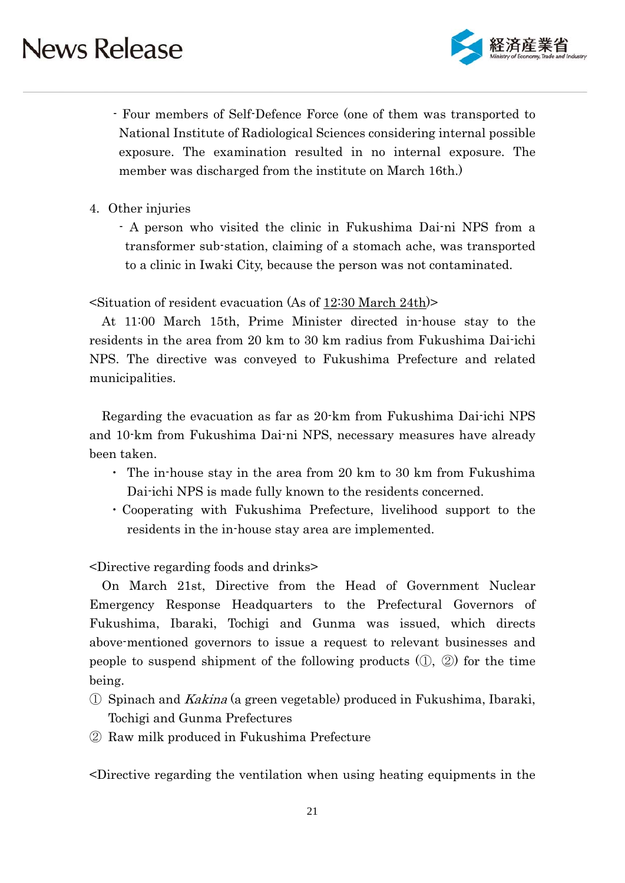

- Four members of Self-Defence Force (one of them was transported to National Institute of Radiological Sciences considering internal possible exposure. The examination resulted in no internal exposure. The member was discharged from the institute on March 16th.)
- 4. Other injuries

- A person who visited the clinic in Fukushima Dai-ni NPS from a transformer sub-station, claiming of a stomach ache, was transported to a clinic in Iwaki City, because the person was not contaminated.

 $\leq$ Situation of resident evacuation (As of  $12:30$  March 24th) $\geq$ 

At 11:00 March 15th, Prime Minister directed in-house stay to the residents in the area from 20 km to 30 km radius from Fukushima Dai-ichi NPS. The directive was conveyed to Fukushima Prefecture and related municipalities.

Regarding the evacuation as far as 20-km from Fukushima Dai-ichi NPS and 10-km from Fukushima Dai-ni NPS, necessary measures have already been taken.

- ・ The in-house stay in the area from 20 km to 30 km from Fukushima Dai-ichi NPS is made fully known to the residents concerned.
- ・Cooperating with Fukushima Prefecture, livelihood support to the residents in the in-house stay area are implemented.

<Directive regarding foods and drinks>

On March 21st, Directive from the Head of Government Nuclear Emergency Response Headquarters to the Prefectural Governors of Fukushima, Ibaraki, Tochigi and Gunma was issued, which directs above-mentioned governors to issue a request to relevant businesses and people to suspend shipment of the following products  $(1, 2)$  for the time being.

- ① Spinach and Kakina (a green vegetable) produced in Fukushima, Ibaraki, Tochigi and Gunma Prefectures
- ② Raw milk produced in Fukushima Prefecture

<Directive regarding the ventilation when using heating equipments in the